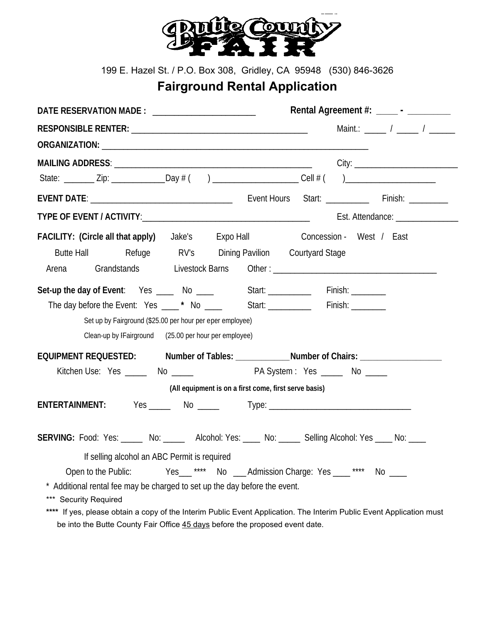

199 E. Hazel St. / P.O. Box 308, Gridley, CA 95948 (530) 846-3626

## **Fairground Rental Application**

| DATE RESERVATION MADE : _________________________                                                              | Rental Agreement #: _____ - _________                                                                                                                                                                                                                                                                                                                                                                            |
|----------------------------------------------------------------------------------------------------------------|------------------------------------------------------------------------------------------------------------------------------------------------------------------------------------------------------------------------------------------------------------------------------------------------------------------------------------------------------------------------------------------------------------------|
|                                                                                                                | Maint.: $\frac{1}{1-\frac{1}{1-\frac{1}{1-\frac{1}{1-\frac{1}{1-\frac{1}{1-\frac{1}{1-\frac{1}{1-\frac{1}{1-\frac{1}{1-\frac{1}{1-\frac{1}{1-\frac{1}{1-\frac{1}{1-\frac{1}{1-\frac{1}{1-\frac{1}{1-\frac{1}{1-\frac{1}{1-\frac{1}{1-\frac{1}{1-\frac{1}{1-\frac{1}{1-\frac{1}{1-\frac{1}{1-\frac{1}{1-\frac{1}{1-\frac{1}{1-\frac{1}{1-\frac{1}{1-\frac{1}{1-\frac{1}{1-\frac{1}{1-\frac{1}{1-\frac{1}{1-\frac$ |
|                                                                                                                |                                                                                                                                                                                                                                                                                                                                                                                                                  |
|                                                                                                                |                                                                                                                                                                                                                                                                                                                                                                                                                  |
|                                                                                                                |                                                                                                                                                                                                                                                                                                                                                                                                                  |
|                                                                                                                |                                                                                                                                                                                                                                                                                                                                                                                                                  |
| TYPE OF EVENT / ACTIVITY: THE CONTROL OF STATE AND THE CONTROL OF STATE AND THE CONTROL OF STATE AND THE CONTR | Est. Attendance: ________________                                                                                                                                                                                                                                                                                                                                                                                |
| <b>FACILITY:</b> (Circle all that apply) Jake's Expo Hall <b>Exponent Concession</b> - West / East             |                                                                                                                                                                                                                                                                                                                                                                                                                  |
| Butte Hall Butte Hall Refuge RV's Dining Pavilion Courtyard Stage                                              |                                                                                                                                                                                                                                                                                                                                                                                                                  |
| Arena                                                                                                          | Grandstands Livestock Barns Other: [19] D. Livestock Barns D. Livestock Barns D. Livestock Barns D. Livestock Barns D. Livestock Barns D. Livestock Barns D. Livestock Barns D. Livestock Barns D. Livestock Barns D. Livestoc                                                                                                                                                                                   |
| Set-up the day of Event: Yes ____ No ____ Start: ________ Finish: _______                                      |                                                                                                                                                                                                                                                                                                                                                                                                                  |
| The day before the Event: Yes ____* No ____ Start: _________ Finish: _______                                   |                                                                                                                                                                                                                                                                                                                                                                                                                  |
| Set up by Fairground (\$25.00 per hour per eper employee)                                                      |                                                                                                                                                                                                                                                                                                                                                                                                                  |
| Clean-up by IFairground (25.00 per hour per employee)                                                          |                                                                                                                                                                                                                                                                                                                                                                                                                  |
|                                                                                                                | EQUIPMENT REQUESTED: Number of Tables: __________________Number of Chairs: ____________                                                                                                                                                                                                                                                                                                                          |
| Kitchen Use: Yes ______ No ______ The RA System : Yes _____ No _____                                           |                                                                                                                                                                                                                                                                                                                                                                                                                  |
|                                                                                                                | (All equipment is on a first come, first serve basis)                                                                                                                                                                                                                                                                                                                                                            |
| ENTERTAINMENT:                                                                                                 |                                                                                                                                                                                                                                                                                                                                                                                                                  |
|                                                                                                                | SERVING: Food: Yes: _____ No: _____ Alcohol: Yes: ____ No: ____ Selling Alcohol: Yes ____ No: ____                                                                                                                                                                                                                                                                                                               |
| If selling alcohol an ABC Permit is required                                                                   |                                                                                                                                                                                                                                                                                                                                                                                                                  |
|                                                                                                                | Open to the Public: Yes__**** No __Admission Charge: Yes ___**** No ___                                                                                                                                                                                                                                                                                                                                          |
| * Additional rental fee may be charged to set up the day before the event.                                     |                                                                                                                                                                                                                                                                                                                                                                                                                  |
| *** Security Required                                                                                          |                                                                                                                                                                                                                                                                                                                                                                                                                  |
|                                                                                                                | **** If yes, please obtain a copy of the Interim Public Event Application. The Interim Public Event Application must                                                                                                                                                                                                                                                                                             |

be into the Butte County Fair Office 45 days before the proposed event date.